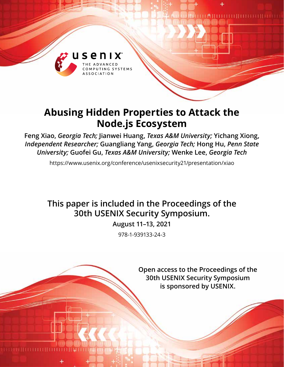

# **Abusing Hidden Properties to Attack the Node.js Ecosystem**

**Feng Xiao,** *Georgia Tech;* **Jianwei Huang,** *Texas A&M University;* **Yichang Xiong,**  *Independent Researcher;* **Guangliang Yang,** *Georgia Tech;* **Hong Hu,** *Penn State University;* **Guofei Gu,** *Texas A&M University;* **Wenke Lee,** *Georgia Tech*

https://www.usenix.org/conference/usenixsecurity21/presentation/xiao

# **This paper is included in the Proceedings of the 30th USENIX Security Symposium.**

**August 11–13, 2021**

978-1-939133-24-3

**Open access to the Proceedings of the 30th USENIX Security Symposium is sponsored by USENIX.**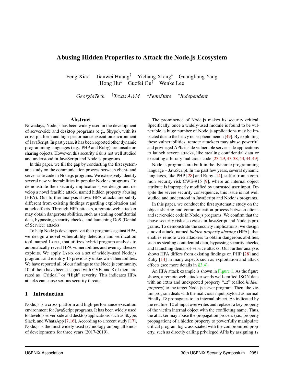## <span id="page-1-0"></span>Abusing Hidden Properties to Attack the Node.js Ecosystem

Feng Xiao Jianwei Huang† Yichang Xiong<sup>∗</sup> Guangliang Yang Hong  $Hu^{\dagger}$  Guofei Gu<sup>†</sup> Wenke Lee

*GeorgiaTech* †*Texas A&M* ‡*PennState* <sup>∗</sup> *Independent*

#### Abstract

Nowadays, Node.js has been widely used in the development of server-side and desktop programs (e.g., Skype), with its cross-platform and high-performance execution environment of JavaScript. In past years, it has been reported other dynamic programming languages (e.g., PHP and Ruby) are unsafe on sharing objects. However, this security risk is not well studied and understood in JavaScript and Node.js programs.

In this paper, we fill the gap by conducting the first systematic study on the communication process between client- and server-side code in Node.js programs. We extensively identify several new vulnerabilities in popular Node.js programs. To demonstrate their security implications, we design and develop a novel feasible attack, named hidden property abusing (HPA). Our further analysis shows HPA attacks are subtly different from existing findings regarding exploitation and attack effects. Through HPA attacks, a remote web attacker may obtain dangerous abilities, such as stealing confidential data, bypassing security checks, and launching DoS (Denial of Service) attacks.

To help Node.js developers vet their programs against HPA, we design a novel vulnerability detection and verification tool, named LYNX, that utilizes hybrid program analysis to automatically reveal HPA vulnerabilities and even synthesize exploits. We apply LYNX on a set of widely-used Node.js programs and identify 15 previously unknown vulnerabilities. We have reported all of our findings to the Node.js community. 10 of them have been assigned with CVE, and 8 of them are rated as "Critical" or "High" severity. This indicates HPA attacks can cause serious security threats.

#### 1 Introduction

Node.js is a cross-platform and high-performance execution environment for JavaScript programs. It has been widely used to develop server-side and desktop applications such as Skype, Slack, and WhatsApp [\[7,](#page-14-0)[16\]](#page-14-1). According to a recent study [\[17\]](#page-14-2), Node.js is the most widely-used technology among all kinds of developments for three years (2017-2019).

The prominence of Node.js makes its security critical. Specifically, once a widely-used module is found to be vulnerable, a huge number of Node.js applications may be impacted due to the heavy reuse phenomenon [\[49\]](#page-15-0). By exploiting these vulnerabilities, remote attackers may abuse powerful and privileged APIs inside vulnerable server-side applications to launch severe attacks, like stealing confidential data or executing arbitrary malicious code [\[23,](#page-15-1) [29,](#page-15-2) [37,](#page-15-3) [38,](#page-15-4) [43,](#page-15-5) [44,](#page-15-6) [49\]](#page-15-0).

Node.js programs are built in the dynamic programming language – JavaScript. In the past few years, several dynamic languages, like PHP [\[28\]](#page-15-7) and Ruby [\[14\]](#page-14-3), suffer from a common security risk CWE-915 [\[9\]](#page-14-4), where an internal object attribute is improperly modified by untrusted user input. Despite the severe security consequence, this issue is not well studied and understood in JavaScript and Node.js programs.

In this paper, we conduct the first systematic study on the object sharing and communication process between clientand server-side code in Node.js programs. We confirm that the above security risk also exists in JavaScript and Node.js programs. To demonstrate the security implications, we design a novel attack, named *hidden property abusing* (HPA), that enables remote web attackers to obtain dangerous abilities, such as stealing confidential data, bypassing security checks, and launching denial-of-service attacks. Our further analysis shows HPA differs from existing findings on PHP [\[28\]](#page-15-7) and Ruby [\[14\]](#page-14-3) in many aspects such as exploitation and attack effects (see more details in  $\S 3.4$ ).

An HPA attack example is shown in [Figure 1.](#page-2-0) As the figure shows, a remote web attacker sends well-crafted JSON data with an extra and unexpected property "I2" (called *hidden property*) to the target Node.js server program. Then, the victim program deals with the malicious input payload as normal. Finally, I2 propagates to an internal object. As indicated by the red line, I2 of input overwrites and replaces a key property of the victim internal object with the conflicting name. Thus, the attacker may abuse the propagation process (i.e., property propagation) of a hidden property to powerfully manipulate critical program logic associated with the compromised property, such as directly calling privileged APIs by assigning I2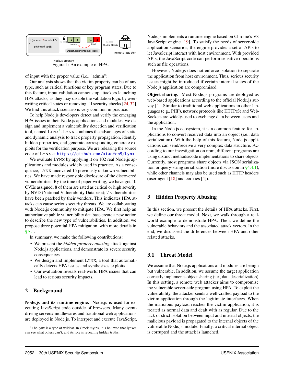<span id="page-2-0"></span>

Node.js program Figure 1: An example of HPA.

of input with the proper value (i.e., "admin").

Our analysis shows that the victim property can be of any type, such as critical functions or key program states. Due to this feature, input validation cannot stop attackers launching HPA attacks, as they may disable the validation logic by overwriting critical states or removing all security checks [\[24,](#page-15-8) [32\]](#page-15-9). We find this attack scenario is very common in practice.

To help Node.js developers detect and verify the emerging HPA issues in their Node.js applications and modules, we design and implement a vulnerability detection and verification tool, named  $LYNX<sup>1</sup>$  $LYNX<sup>1</sup>$  $LYNX<sup>1</sup>$ . LYNX combines the advantages of static and dynamic analysis to track property propagation, identify hidden properties, and generate corresponding concrete exploits for the verification purpose. We are releasing the source code of LYNX at <https://github.com/xiaofen9/Lynx> .

We evaluate LYNX by applying it on 102 real Node.js applications and modules widely used in practice. As a consequence, LYNX uncovered 15 previously unknown vulnerabilities. We have made responsible disclosure of the discovered vulnerabilities. By the time of paper writing, we have got 10 CVEs assigned; 8 of them are rated as critical or high severity by NVD (National Vulnerability Database); 7 vulnerabilities have been patched by their vendors. This indicates HPA attacks can cause serious security threats. We are collaborating with Node.js community to mitigate HPA. We first help an authoritative public vulnerability database create a new notion to describe the new type of vulnerabilities. In addition, we propose three potential HPA mitigation, with more details in [§A.1.](#page-15-10)

In summary, we make the following contributions:

- We present the *hidden property abusing* attack against Node.js applications, and demonstrate its severe security consequences.
- We design and implement LYNX, a tool that automatically detects HPA issues and synthesizes exploits.
- Our evaluation reveals real-world HPA issues that can lead to serious security impacts.

## 2 Background

Node.js and its runtime engine. Node.js is used for executing JavaScript code outside of browsers. Many eventdriving servers/middlewares and traditional web applications are deployed in Node.js. To interpret and execute JavaScript,

Node.js implements a runtime engine based on Chrome's V8 JavaScript engine [\[19\]](#page-14-5). To satisfy the needs of server-side application scenarios, the engine provides a set of APIs to let JavaScript interact with host environment. With provided APIs, the JavaScript code can perform sensitive operations such as file operations.

However, Node.js does not enforce isolation to separate the application from host environment. Thus, serious security issues might be introduced if certain internal states of the Node.js application are compromised.

Object sharing. Most Node.js programs are deployed as web-based applications according to the official Node.js survey [\[1\]](#page-14-6). Similar to traditional web applications in other languages (e.g., PHP), network protocols like HTTP(S) and Web-Sockets are widely-used to exchange data between users and the application.

In the Node.js ecosystem, it is a common feature for applications to convert received data into an object (i.e., data serialization). With the help of this feature, Node.js applications can send/receive a very complex data structure. According to our investigation on npm, different programs are using distinct methods/code implementations to share objects. Currently, most programs share objects via JSON serialization or query-string serialization (more discussion in [§4.4.1\)](#page-5-0), while other channels may also be used such as HTTP headers (user-agent  $[18]$  and cookies  $[4]$ ).

## 3 Hidden Property Abusing

In this section, we present the details of HPA attacks. First, we define our threat model. Next, we walk through a realworld example to demonstrate HPA. Then, we define the vulnerable behaviors and the associated attack vectors. In the end, we discussed the differences between HPA and other related attacks.

# 3.1 Threat Model

We assume that Node.js applications and modules are benign but vulnerable. In addition, we assume the target application correctly implements object sharing (i.e., data deserialization). In this setting, a remote web attacker aims to compromise the vulnerable server-side program using HPA. To exploit the vulnerability, the attacker sends a well-crafted payload to the victim application through the legitimate interfaces. When the malicious payload reaches the victim application, it is treated as normal data and dealt with as regular. Due to the lack of strict isolation between input and internal objects, the malicious payload is propagated to the internal objects of the vulnerable Node.js module. Finally, a critical internal object is corrupted and the attack is launched.

<sup>&</sup>lt;sup>1</sup>The lynx is a type of wildcat. In Greek myths, it is believed that lynxes can see what others can't, and its role is revealing hidden truths.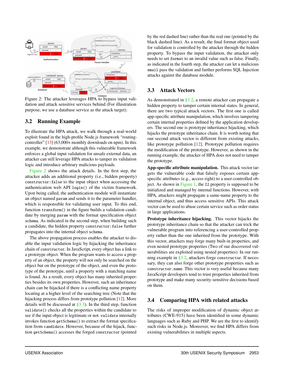<span id="page-3-1"></span>

Figure 2: The attacker leverages HPA to bypass input validation and attack sensitive services behind (For illustration purpose, we use a database service as the attack target).

## <span id="page-3-3"></span>3.2 Running Example

To illustrate the HPA attack, we walk through a real-world exploit found in the high-profile Node.js framework "routingcontroller" [\[13\]](#page-14-9) (63,000+ monthly downloads on npm). In this example, we demonstrate although this vulnerable framework enforces a global input validation for unsafe external data, an attacker can still leverage HPA attacks to tamper its validation logic and introduce arbitrary malicious payloads.

[Figure 2](#page-3-1) shows the attack details. In the first step, the attacker adds an additional property (i.e., hidden property) constructor:false to the input object when accessing the authentication web API login() of the victim framework. Upon being called, the authentication module will instantiate an object named param and sends it to the parameter handler, which is responsible for validating user input. To this end, function transform() in the figure builds a validation candidate by merging param with the format specification object schema. As indicated in the second step, when building such a candidate, the hidden property constructor:false further propagates into the internal object schema.

The above propagation process enables the attacker to disable the input validation logic by hijacking the inheritance chain of constructor. In JavaScript, every object has a link to a prototype object. When the program wants to access a property of an object, the property will not only be searched on the object but on the prototype of the object, and even the prototype of the prototype, until a property with a matching name is found. As a result, every object has many inherited properties besides its own properties. However, such an inheritance chain can be hijacked if there is a conflicting name property locating at a higher level of the searching tree (Note that the hijacking process differs from prototype pollution [\[12\]](#page-14-10). More details will be discussed at  $\S$ 3.3). In the third step, function validate() checks all the properties within the candidate to see if the input object is legitimate or not. validate internally invokes function getSchema() to extract the format specification from candidate. However, because of the hijack, function getSchema() accesses the forged constructor (pointed

by the red dashed line) rather than the real one (pointed by the black dashed line). As a result, the final format object used for validation is controlled by the attacker through the hidden property. To bypass the input validation, the attacker only needs to set format to an invalid value such as false. Finally, as indicated in the fourth step, the attacker can let a malicious email pass the validation and further performs SQL Injection attacks against the database module.

#### <span id="page-3-2"></span>3.3 Attack Vectors

As demonstrated in [§3.2,](#page-3-3) a remote attacker can propagate a hidden property to tamper certain internal states. In general, there are two typical attack vectors. The first one is called app-specific attribute manipulation, which involves tampering certain internal properties defined by the application developers. The second one is prototype inheritance hijacking, which hijacks the prototype inheritance chain. It is worth noting that our second attack vector is different from existing attacks, like prototype pollution [\[12\]](#page-14-10). Prototype pollution requires the modification of the prototype. However, as shown in the running example, the attacker of HPA does not need to tamper the prototype.

App-specific attribute manipulation. This attack vector targets the vulnerable code that falsely exposes certain appspecific attributes (e.g., access right) to a user-controlled object. As shown in [Figure 1,](#page-2-0) the I2 property is supposed to be initialized and managed by internal functions. However, with HPA, attackers might propagate a same-name property to the internal object, and thus access sensitive APIs. This attack vector can be used to abuse certain service such as order status in large applications.

Prototype inheritance hijacking. This vector hijacks the prototype inheritance chain so that the attacker can trick the vulnerable program into referencing a user-controlled property rather than the one inherited from the prototype. With this vector, attackers may forge many built-in properties, and even nested prototype properties (Two of our discovered vulnerabilities are exploited using nested properties). In our running example in [§3.2,](#page-3-3) attackers forge constructor. If necessary, they can also forge other prototype properties such as constructor.name. This vector is very useful because many JavaScript developers tend to trust properties inherited from prototype and make many security-sensitive decisions based on them.

### <span id="page-3-0"></span>3.4 Comparing HPA with related attacks

The risks of improper modification of dynamic object attributes (CWE-915) have been identified in some dynamic languages such as Ruby and PHP. We are the first to identify such risks in Node.js. Moreover, we find HPA differs from existing vulnerabilities in multiple aspects.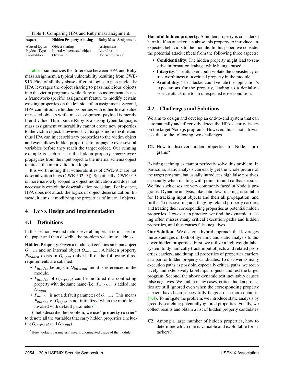<span id="page-4-0"></span>Table 1: Comparing HPA and Ruby mass assignment.

| Aspect        | <b>Hidden Property Abusing</b> | <b>Ruby Mass Assignment</b> |
|---------------|--------------------------------|-----------------------------|
| Abused logics | Object sharing                 | Assignment                  |
| Payload Type  | Literal value/nested object    | Literal value               |
| Capabilities  | Overwrite                      | Overwrite/Create            |

[Table 1](#page-4-0) summarizes the difference between HPA and Ruby mass assignment, a typical vulnerability resulting from CWE-915. First of all, they abuse different logics to pass payloads: HPA leverages the object sharing to pass malicious objects into the victim programs, while Ruby mass assignment abuses a framework-specific assignment feature to modify certain existing properties on the left side of an assignment. Second, HPA can introduce hidden properties with either literal value or nested objects while mass assignment payload is merely literal value. Third, since Ruby is a strong-typed language, mass assignment vulnerability cannot create new properties to the victim object. However, JavaScript is more flexible and thus HPA can inject arbitrary properties to the victim object and even allows hidden properties to propagate over several variables before they reach the target object. Our running example is such a case: the hidden property constructor propagates from the input object to the internal schema object to attack the input validation logic.

It is worth noting that vulnerabilities of CWE-915 are not deserialization bugs (CWE-502 [\[5\]](#page-14-11)). Specifically, CWE-915 is more narrowly scoped to object modification and does not necessarily exploit the deserialization procedure. For instance, HPA does not attack the logics of object deserialization. Instead, it aims at modifying the properties of internal objects.

#### 4 LYNX Design and Implementation

#### <span id="page-4-2"></span>4.1 Definitions

In this section, we first define several important terms used in the paper and then describe the problem we aim to address.

Hidden Property: Given a module, it contains an input object  $O_{input}$  and an internal object  $O_{internal}$ . A hidden property  $P_{hidden}$  exists in  $O_{input}$  only if all of the following three requirements are satisfied:

- $P_{hidden}$  belongs to  $O_{internal}$  and it is referenced in the module.
- *Phidden* of *Ointernal* can be modified if a conflicting property with the same name (i.e.,  $P_{hidden}$ ) is added into *O*input.
- $P_{hidden}$  is not a default parameter of  $O_{input}$ . This means *Phidden* of  $O_{input}$  is not initialized when the module is invoked with default parameters<sup>[2](#page-1-0)</sup>.

To help describe the problem, we use "property carrier" to denote all the variables that carry hidden properties (including *O*internal and *O*input).

Harmful hidden property: A hidden property is considered harmful if an attacker can abuse this property to introduce unexpected behaviors to the module. In this paper, we consider the potential attack effects from the following three aspects:

- Confidentiality: The hidden property might lead to sensitive information leakage while being abused.
- Integrity: The attacker could violate the consistency or trustworthiness of a critical property in the module.
- Availability: The attacker could violate the application's expectations for the property, leading to a denial-ofservice attack due to an unexpected error condition.

#### <span id="page-4-1"></span>4.2 Challenges and Solutions

We aim to design and develop an end-to-end system that can automatically and effectively detect the HPA security issues on the target Node.js programs. However, this is not a trivial task due to the following two challenges.

C1. How to discover hidden properties for Node.js programs?

Existing techniques cannot perfectly solve this problem. In particular, static analysis can easily get the whole picture of the target program, but usually introduces high false positives, especially when dealing with points-to and callback issues. We find such cases are very commonly faced in Node.js programs. Dynamic analysis, like data flow tracking, is suitable for 1) tracking input objects and their all propagation, and further 2) discovering and flagging related property carriers, and treating their corresponding properties as potential hidden properties. However, in practice, we find the dynamic tracking often misses many critical execution paths and hidden properties, and thus causes false negatives.

Our Solution. We design a hybrid approach that leverages the advantages of both of dynamic and static analysis to discover hidden properties. First, we utilize a lightweight label system to dynamically track input objects and related properties carriers, and dump all properties of properties carriers as a part of hidden property candidates. To discover as many execution paths as possible, especially critical paths, we recursively and extensively label input objects and test the target program. Second, the above dynamic test inevitably causes false negatives. We find in many cases, critical hidden properties are still ignored even when the corresponding property carriers have been successfully flagged (see more detail in [§4.4\)](#page-5-1). To mitigate the problem, we introduce static analysis by greedily searching potentially ignored properties. Finally, we collect results and obtain a list of hidden property candidates.

C2. Among a large number of hidden properties, how to determine which one is valuable and exploitable for attackers?

<sup>2</sup>Here "default parameters" means documented usage of the module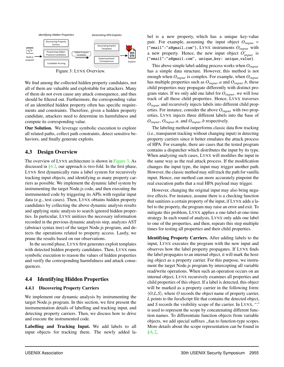<span id="page-5-2"></span>

Figure 3: LYNX Overview.

We find among the collected hidden property candidates, not all of them are valuable and exploitable for attackers. Many of them do not even cause any attack consequence, and thus should be filtered out. Furthermore, the corresponding value of an identified hidden property often has specific requirements and constraints. Therefore, given a hidden property candidate, attackers need to determine its harmfulness and compute its corresponding value.

Our Solution. We leverage symbolic execution to explore all related paths, collect path constraints, detect sensitive behaviors, and finally generate exploits.

### 4.3 Design Overview

The overview of LYNX architecture is shown in [Figure 3.](#page-5-2) As discussed in  $\S 4.2$ , our approach is two-fold. In the first phase, LYNX first dynamically runs a label system for recursively tracking input objects, and identifying as many property carriers as possible. We implement the dynamic label system by instrumenting the target Node.js code, and then executing the instrumented code by triggering its APIs with regular input data (e.g., test cases). Then, LYNX obtains hidden property candidates by collecting the above dynamic analysis results and applying static analysis to search ignored hidden properties. In particular, LYNX unitizes the necessary information recorded in the previous dynamic analysis step, analyzes AST (abstract syntax tree) of the target Node.js program, and detects the operations related to property access. Lastly, we prune the results based on our observations.

In the second phase, LYNX first generates exploit templates with detected hidden property candidates. Then, LYNX runs symbolic execution to reason the values of hidden properties and verify the corresponding harmfulness and attack consequences.

## <span id="page-5-1"></span>4.4 Identifying Hidden Properties

### <span id="page-5-0"></span>4.4.1 Discovering Property Carriers

We implement our dynamic analysis by instrumenting the target Node.js program. In this section, we first present the instrumentation details of labelling and tracking input, and detecting property carriers. Then, we discuss how to drive and execute the instrumented code.

Labelling and Tracking Input. We add labels to all input objects for tracking them. The newly added la-

bel is a new property, which has a unique key-value pair. For example, assuming the input object  $O_{input}$ {"email":"a@gmail.com"}, LYNX instruments *O*input with a new property. Hence, the new input object  $\hat{O}_{input}$  is {"email":"a@gmail.com", unique\_key: unique\_value}.

This above simple label-adding process works when  $O_{input}$ has a simple data structure. However, this method is not enough when  $O_{input}$  is complex. For example, when  $O_{input}$ has multiple properties such as  $O_{input}.a$  and  $O_{input}.b$ , these child properties may propagate differently with distinct program states. If we only add one label for  $O_{input}$ , we will lose track of all these child properties. Hence, LYNX traverses  $O_{input}$  and recursively injects labels into different child properties. For instance, consider the above  $O_{input}$  with two properties, LYNX injects three different labels into the base of  $O_{input}$ ,  $O_{input}$ , and  $O_{input}$ , *b* respectively.

The labeling method outperforms classic data flow tracking (i.e., transparent tracking without changing input) in detecting property carriers since it better emulates the attack process of HPA. For example, there are cases that the tested program contains a dispatcher which distributes the input by its type. When analyzing such cases, LYNX will modifies the input in the same way as the real attack process. If the modification changes the input type, the input may trigger another path. However, the classic method may still track the path for vanilla input. Hence, our method can more accurately pinpoint the real execution paths that a real HPA payload may trigger.

However, changing the original input may also bring negative effects. For instance, assume there is a checking function that sanitizes a certain property of the input, if LYNX adds a label to the property, the program may raise an error and exit. To mitigate this problem, LYNX applies a one-label-at-one-time strategy. In each round of analysis, LYNX only adds one label to one of the properties, and then, repeats this step multiple times for testing all properties and their child properties.

Identifying Property Carriers. After adding labels to the input, LYNX executes the program with the new input and observes how the label property propagates. If LYNX finds the label propagates to an internal object, it will mark the hosting object as a property carrier. For this purpose, we instrument the target Node.js program by intercepting all variable read/write operations. When such an operation occurs on an internal object, LYNX recursively examines all properties and child properties of this object. If a label is detected, this object will be marked as a property carrier in the following form:  $\langle O, L, S \rangle$ , where O records the object name of property carrier, *L* points to the JavaScript file that contains the detected object, and *S* records the visibility scope of the carrier. In LYNX, "." is used to represent the scope by concatenating different function names. To differentiate function objects from variable objects, we add special suffixes \_fun to function-type scopes. More details about the scope representation can be found in [§A.2,](#page-16-0)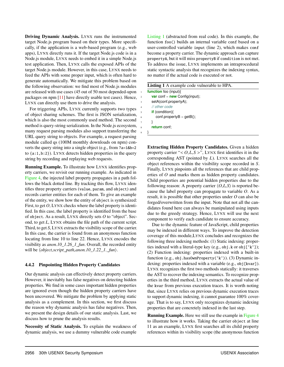Driving Dynamic Analysis. LYNX runs the instrumented target Node.js program based on their types. More specifically, if the application is a web-based program (e.g., web apps), LYNX directly runs it. If the target Node.js code is in a Node.js module, LYNX needs to embed it in a simple Node.js test application. Then, LYNX calls the exposed APIs of the target Node.js module. However, in this case, LYNX needs to feed the APIs with some proper input, which is often hard to generate automatically. We mitigate this problem based on the following observation: we find most of Node.js modules are released with use cases (45 out of 50 most depended-upon packages on npm [\[11\]](#page-14-12) have directly usable test cases). Hence, LYNX can directly use them to drive the analysis.

For triggering APIs, LYNX currently supports two types of object sharing schemes. The first is JSON serialization, which is also the most commonly used method. The second method is query-string serialization. In the Node.js ecosystem, many request parsing modules also support transferring the URL query string to objects. For example, a request parsing module called qs (100M monthly downloads on npm) converts the query string into a single object (e.g., from ?a=1&b=2 to {a:1,b:2}). LYNX detects hidden properties in the query string by recording and replaying web requests.

Running Example. To illustrate how LYNX identifies property carriers, we revisit our running example. As indicated in [Figure 4,](#page-7-0) the injected label property propagates in a path follows the black dotted line. By tracking this flow, LYNX identifies three property carriers (value, param, and object) and records carrier entities for each of them. To give an example of the entity, we show how the entity of object is synthesized: First, to get *O*, LYNX checks where the label property is identified. In this case, the label property is identified from the base of object. As a result, LYNX directly sets *O* to "object". Second, to get *L*, LYNX obtains the file path of the current script. Third, to get *S*, LYNX extracts the visibility scope of the carrier. In this case, the carrier is found from an anonymous function locating from line 10 to line 22. Hence, LYNX encodes the visibility as *anon.10\_1.26\_1\_fun*. Overall, the recorded entity will be  $\langle object, script\_path, a non.10\_1.22\_1..$ *fun* $\rangle$ .

#### <span id="page-6-1"></span>4.4.2 Pinpointing Hidden Property Candidates

Our dynamic analysis can effectively detect property carriers. However, it inevitably has false negatives on detecting hidden properties. We find in some cases important hidden properties are ignored even though the hidden property carriers have been uncovered. We mitigate the problem by applying static analysis as a complement. In this section, we first discuss the reason why dynamic analysis has false negatives. Then, we present the design details of our static analysis. Last, we discuss how to prune the analysis results.

Necessity of Static Analysis. To explain the weakness of dynamic analysis, we use a dummy vulnerable code example [Listing 1](#page-6-0) (abstracted from real code). In this example, the function foo() builds an internal variable conf based on a user-controlled variable input (line 2), which makes conf become a property carrier. The dynamic approach can capture propertyA, but it will miss propertyB if condition is not met. To address the issue, LYNX implements an intraprocedural static syntactic analysis that recognizes the indexing syntax, no matter if the actual code is executed or not.

<span id="page-6-0"></span>

| function foo (input){                  |
|----------------------------------------|
| <b>var</b> conf = $new$ Config(input); |
| setA(conf.propertyA);                  |
| $\#$ other code                        |
| if (condition)                         |
| $conf.properties = getB();$            |
|                                        |
| return conf:                           |

Extracting Hidden Property Candidates. Given a hidden property carrier " $< O, L, S$  >", LYNX first identifies it in the corresponding AST (pointed by *L*). LYNX searches all the object references within the visibility scope recorded in *S*. Finally, LYNX pinpoints all the references that are child properties of *O* and marks them as hidden property candidates. Child properties are potential hidden properties due to the following reason: A property carrier  $\langle O, L, S \rangle$  is reported because the label property can propagate to variable *O*. As a result, it is possible that other properties under *O* can also be forged/overwritten from the input. Note that not all the candidates found here can always be manipulated using inputs due to the greedy strategy. Hence, LYNX will use the next component to verify each candidate to ensure accuracy.

Due to the dynamic feature of JavaScript, child properties may be indexed in different ways. To improve the detection coverage of this module,LYNX concludes and recognizes the following three indexing methods: (1) Static indexing: properties indexed with a literal-type key (e.g., obj.k or obj['k']); (2) Function indexing: properties indexed with a built-in function (e.g., obj.hasOwnProperty('k')). (3) Dynamic indexing: properties indexed with a variable (e.g., obj[kvar]). LYNX recognizes the first two methods statically: it traverses the AST to recover the indexing semantics. To recognize properties in the third method, LYNX extracts the actual value of the kvar from previous execution traces. It is worth noting that, since LYNX relies on previous dynamic execution traces to support dynamic indexing, it cannot guarantee 100% coverage. That is to say, LYNX only recognizes dynamic indexing properties that are concretely indexed in the last step.

Running Example. Here we still use the example in [Figure 4](#page-7-0) to illustrate how it works. Taking the carrier object at line 11 as an example, LYNX first searches all its child property references within its visibility scope (the anonymous function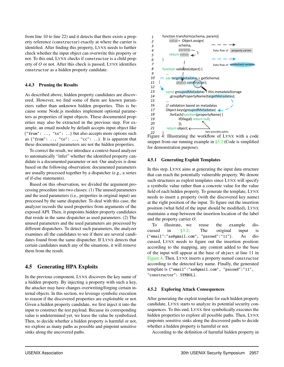from line 10 to line 22) and it detects that there exists a property reference (constructor) exactly at where the carrier is identified. After finding this property, LYNX needs to further check whether the input object can overwrite this property or not. To this end, LYNX checks if constructor is a child property of *O* or not. After this check is passed, LYNX identifies constructor as a hidden property candidate.

#### 4.4.3 Pruning the Results

As described above, hidden property candidates are discovered. However, we find some of them are known parameters rather than unknown hidden properties. This is because some Node.js modules implement optional parameters as properties of input objects. These documented properties may also be extracted in the previous step. For example, an email module by default accepts input object like {"from": .., "to": ..} but also accepts more options such as  $\{$ "from": .., "to": .., "cc": ..}. It is apparent that these documented parameters are not the hidden properties.

To correct the result, we introduce a context-based analyzer to automatically "infer" whether the identified property candidate is a documented parameter or not. Our analysis is done based on the following observation: documented parameters are usually processed together by a dispatcher (e.g., a series of if-else statements).

Based on this observation, we divided the argument processing procedure into two classes: (1) The unused parameters and the used parameters (i.e., properties in original input) are processed by the same dispatcher. To deal with this case, the analyzer records the used properties from arguments of the exposed API. Then, it pinpoints hidden property candidates that reside in the same dispatcher as used parameters. (2) The unused parameters and the used parameters are processed by different dispatchers. To detect such parameters, the analyzer examines all the candidates to see if there are several candidates found from the same dispatcher. If LYNX detects that certain candidates match any of the situations, it will remove them from the result.

## <span id="page-7-1"></span>4.5 Generating HPA Exploits

In the previous component, LYNX discovers the key name of a hidden property. By injecting a property with such a key, the attacker may have changes overwriting/forging certain internal objects. In this section, we leverage symbolic execution to reason if the discovered properties are exploitable or not. Given a hidden property candidate, we first inject it into the input to construct the test payload. Because its corresponding value is undetermined yet, we leave the value be symbolized. Then, to decide whether a hidden property is harmful or not, we explore as many paths as possible and pinpoint sensitive sinks along the uncovered paths.

<span id="page-7-0"></span>

z<sub>2</sub> }<br>Figure 4: Illustrating the workflow of LYNX with a code snippet from our running example in [§3.2](#page-3-3) (Code is simplified for demonstration purpose).

#### 4.5.1 Generating Exploit Templates

In this step, LYNX aims at generating the input data structure that can reach the potentially vulnerable property. We denote such structures as exploit templates since LYNX will specify a symbolic value rather than a concrete value for the value field of each hidden property. To generate the template, LYNX needs to insert a property (with the discovered key name) at the right position of the input. To figure out the insertion position (what field of the input should be modified), LYNX maintains a map between the insertion location of the label and the property carrier *O*.

To illustrate, we reuse the example discussed in [§3.2:](#page-3-3) The original input is {"email":"aa@gmail.com", "passwd":"11"}. As discussed, LYNX needs to figure out the insertion position: according to the mapping, any content added to the base of the input will appear at the base of object at line 11 in [Figure 4.](#page-7-0) Then, LYNX inserts a property named constructor according to the detected key name. Finally, the generated template is {"email":"aa@gmail.com", "passwd":"11", "constructor": SYMBOL}.

#### 4.5.2 Exploring Attack Consequences

After generating the exploit template for each hidden property candidate, LYNX starts to analyze its potential security consequences. To this end, LYNX first symbolically executes the hidden properties to explore all possible paths. Then, LYNX pinpoints sensitive sinks along the discovered paths to decide whether a hidden property is harmful or not.

According to the definition of harmful hidden property in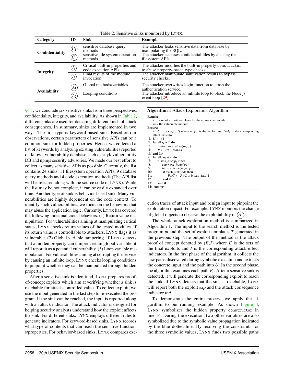<span id="page-8-0"></span>

| Category            | ID                                | <b>Sink</b>                                                                                          | <b>Example</b>                                                                                                                                                                |
|---------------------|-----------------------------------|------------------------------------------------------------------------------------------------------|-------------------------------------------------------------------------------------------------------------------------------------------------------------------------------|
| Confidentiality     | $(C_1)$<br>$\left(  C_{2}\right)$ | sensitive database query<br>methods<br>sensitive file system operation<br>methods                    | The attacker leaks sensitive data from database by<br>manipulating the SQL.<br>The attacker accesses confidential files by abusing the<br>filesystem APIs.                    |
| <b>Integrity</b>    | (I <sub>1</sub> )<br>$(I_2)$      | Critical built-in properties and<br>code execution APIs<br>Final results of the module<br>invocation | The attacker modifies the built-in property constructor<br>to abuse property-based type checks.<br>The attacker manipulate sanitization results to bypass<br>security checks. |
| <b>Availability</b> | $(A_1)$<br>$(A_2)$                | Global methods/variables<br>Looping conditions                                                       | The attacker overwrites login function to crash the<br>authentication service.<br>The attacker introduce an infinite loop to block the Node.js<br>event loop $[29]$ .         |

Table 2: Sensitive sinks monitored by LYNX.

 $§4.1$ , we conclude six sensitive sinks from three perspectives: confidentiality, integrity, and availability. As shown in [Table 2,](#page-8-0) different sinks are used for detecting different kinds of attack consequences. In summary, sinks are implemented in two ways. The first type is keyword-based sink. Based on our observations, certain parameters of sensitive APIs can be a common sink for hidden properties. Hence, we collected a list of keywords by analyzing existing vulnerabilities reported on known vulnerability database such as snyk vulnerability DB and npmjs security advisories. We made our best effort to collect as many sensitive APIs as possible. Currently, the list contains 24 sinks: 11 filesystem operation APIs, 9 database query methods and 4 code execution methods (The API list will be released along with the source code of LYNX). While the list may be not complete, it can be easily expanded over time. Another type of sink is behavior-based sink. Many vulnerabilities are highly dependent on the code context. To identify such vulnerabilities, we focus on the behaviors that may abuse the application logic. Currently, LYNX has covered the following three malicious behaviors. (1) Return value manipulation. For vulnerabilities aiming at manipulating critical states, LYNX checks return values of the tested modules. If its return value is controllable to attackers, LYNX flags it as vulnerable. (2) Global variable tampering. If LYNX detects that a hidden property can tamper certain global variable, it will report it as a potential vulnerability. (3) Loop variable manipulation. For vulnerabilities aiming at corrupting the service by causing an infinite loop, LYNX checks looping conditions to pinpoint whether they can be manipulated through hidden properties.

After a sensitive sink is identified, LYNX prepares proofof-concept exploits which aim at verifying whether a sink is reachable for attack-controlled value. To collect exploit, we use the input generated in the last step to re-executed the program. If the sink can be reached, the input is reported along with an attack indicator. The attack indicator is designed for helping security analysts understand how the exploit affects the sink. For different sinks, LYNX employs different rules to generate indicators. For keyword-based sinks, LYNX records what type of contents that can reach the sensitive functions/properties. For behavior-based sinks, LYNX compares exe-

#### <span id="page-8-1"></span>Algorithm 1 Attack Exploration Algorithm

#### Require:  $T = a$  set of exploit templates for the vulnerable module  $m =$  the vulnerable module Ensure:  $Poc = (exp, ind)$  where  $exp<sub>i</sub>$  is the exploit and  $ind<sub>i</sub>$  is the corresponding attack indicator attack indicator. 1:  $U \leftarrow \{\}$ 2: for all  $t_i \in T$  do<br>3:  $naths \leftarrow ex$ 3:  $paths \leftarrow explore(m, t_i)$ <br>4.  $P \leftarrow P \cup {nath s}$  $P \leftarrow P \cup \{paths\}$ 5: end for 6: for all  $p_i \in P$  do<br>7. if has sink(p. 7: **if**  $has\_sink(p_i)$  then<br>8:  $\exp = get \; input(n_i)$ 8:  $\exp = get\_input(p_i)$ <br>9:  $\text{ind} = execute(m, ex)$ 9:  $ind = execute(m, exp)$ <br>10: **if** reach sink(ind) **then** 10: **if** reach\_sink(ind) **then**<br>11:  $PoC \leftarrow PoC \cup \{($ 11:  $PoC \leftarrow PoC \cup \{(exp, ind)\}$ <br>12: end if 12: end if end if 14: end for

cution traces of attack input and benign input to pinpoint the exploitation impact. For example, LYNX monitors the change of global objects to observe the exploitability of  $(A_1)$ .

The whole attack exploration method is summarized in Algorithm [1.](#page-8-1) The input to the search method is the tested program *m* and the set of exploit templates *T* generated in the previous step. The output of the method is the attack proof of concept denoted by  $(E,I)$  where  $E$  is the sets of the final exploits and *I* is the corresponding attack effect indicators. In the first phase of the algorithm, it collects the new paths discovered during symbolic execution and extracts the concrete input and the path into *U*. In the second phase, the algorithm examines each path  $P_i$ . After a sensitive sink is detected, it will generate the corresponding exploit to reach the sink. If LYNX detects that the sink is reachable, LYNX will report both the exploit *exp* and the attack consequence indicator *ind*.

To demonstrate the entire process, we apply the algorithm to our running example. As shown [Figure 4,](#page-7-0) LYNX symbolizes the hidden property constructor in line 14. During the execution, two other variables are also symbolized due to the symbolic value propagation indicated by the blue dotted line. By resolving the constraints for the three symbolic values, LYNX finds two possible paths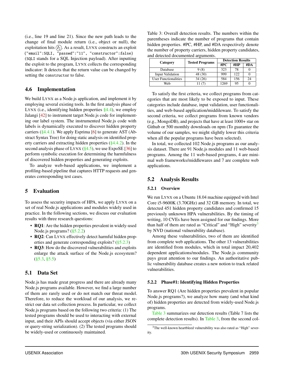(i.e., line 19 and line 21). Since the new path leads to the change of final module return (i.e., object or null), the exploitation hits  $(I_2)$ . As a result, LYNX constructs an exploit {"email":SQLI, "passwd":"11", "constructor":false} (SQLI stands for a SQL Injection payload). After inputting the exploit to the program, LYNX collects the corresponding indicator: It detects that the return value can be changed by setting the constructor to false.

#### 4.6 Implementation

We build LYNX as a Node.js application, and implement it by employing several existing tools. In the first analysis phase of LYNX (i.e., identifying hidden properties  $\S 4.4$ ), we employ Jalangi [\[42\]](#page-15-11) to instrument target Node.js code for implementing our label system. The instrumented Node.js code with labels is dynamically executed to discover hidden property carriers ( $\S 4.4.1$ ). We apply Esprima [\[6\]](#page-14-13) to generate AST (Abstract Syntax Tree) for doing static analysis on identified property carriers and extracting hidden properties  $(\frac{6}{4}4.4.2)$ . In the second analysis phase of LYNX  $(\frac{8}{3}, 5)$ , we use ExpoSE [\[36\]](#page-15-12) to perform symbolic execution for determining the harmfulness of discovered hidden properties and generating exploits.

To analyze web-based applications, we implement a profiling-based pipeline that captures HTTP requests and generates corresponding test cases.

### 5 Evaluation

To assess the security impacts of HPA, we apply LYNX on a set of real Node.js applications and modules widely used in practice. In the following sections, we discuss our evaluation results with three research questions:

- RQ1: Are the hidden properties prevalent in widely-used Node.js programs? [\(§5.2.2\)](#page-9-0)
- RQ2: Can LYNX effectively detect harmful hidden properties and generate corresponding exploits? [\(§5.2.3\)](#page-10-0)
- RQ3: How do the discovered vulnerabilities and exploits enlarge the attack surface of the Node.js ecosystem? [\(§5.3,](#page-10-1) [§5.5\)](#page-12-0)

## 5.1 Data Set

Node.js has made great progress and there are already many Node.js programs available. However, we find a large number of them are rarely used or do not match our threat model. Therefore, to reduce the workload of our analysis, we restrict our data set collection process. In particular, we collect Node.js programs based on the following two criteria: (1) The tested programs should be used to interacting with external input, and their APIs should accept objects (via either JSON or query-string serialization). (2) The tested programs should be widely-used or continuously maintained.

<span id="page-9-1"></span>Table 3: Overall detection results. The numbers within the parentheses indicate the number of programs that contain hidden properties. #PC, #HP, and #DA respectively denote the number of property carriers, hidden property candidates, and detected documented arguments.

| Category                    | <b>Tested Programs</b> | <b>Detection Results</b> |     |     |  |  |
|-----------------------------|------------------------|--------------------------|-----|-----|--|--|
|                             |                        | #PC                      | #HP | #DA |  |  |
| Database                    | 9(8)                   | 323                      | 78  |     |  |  |
| Input Validation            | 48 (30)                | 999                      | 122 |     |  |  |
| <b>User Functionalities</b> | 34(26)                 | 584                      | 156 | 24  |  |  |
| Web                         | 11 (7)                 | 1269                     | 95  |     |  |  |

To satisfy the first criteria, we collect programs from categories that are most likely to be exposed to input. These categories include database, input validation, user functionalities, and web-based application/middileware. To satisfy the second criteria, we collect programs from known vendors (e.g., MongoDB), and projects that have at least 1000+ star on Github or 500 monthly downloads on npm (To guarantee the volume of our samples, we might slightly lower this criteria when all the popular programs have been selected).

In total, we collected 102 Node.js programs as our analysis dataset. There are 91 Node.js modules and 11 web-based programs. Among the 11 web-based programs, 4 are minimal web frameworks/middlewares and 7 are complete web applications.

### 5.2 Analysis Results

#### 5.2.1 Overview

We run LYNX on a Ubuntu 18.04 machine equipped with Intel Core i5-9600K (3.70GHz) and 32 GB memory. In total, we detected 451 hidden property candidates and confirmed 15 previously unknown HPA vulnerabilities. By the timing of writing, 10 CVEs have been assigned for our findings. More than half of them are rated as "Critical" and "High" severity<sup>[3](#page-1-0)</sup> by NVD (national vulnerability database).

Among these vulnerabilities, two of them are identified from complete web applications. The other 13 vulnerabilities are identified from modules, which in total impact 20,402 dependent applications/modules. The Node.js community pays great attention to our findings. An authoritative public vulnerability database creates a new notion to track related vulnerabilities.

#### <span id="page-9-0"></span>5.2.2 Phase#1: Identifying Hidden Properties

To answer RQ1 (Are hidden properties prevalent in popular Node.js programs?), we analyze how many (and what kind of) hidden properties are detected from widely-used Node.js programs.

[Table 3](#page-9-1) summarizes our detection results (Table 7 lists the complete detection results). In [Table 3,](#page-9-1) from the second col-

<sup>&</sup>lt;sup>3</sup>The well-known heartbleed vulnerability was also rated as "High" severity.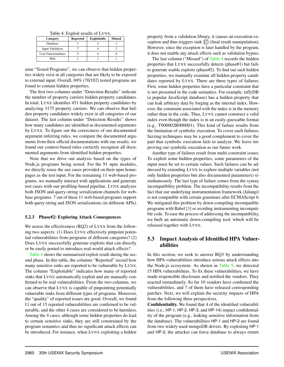<span id="page-10-2"></span>

| Category                    | <b>Reported</b> | <b>Exploitable</b> | <b>Missed</b> |
|-----------------------------|-----------------|--------------------|---------------|
| <b>Database</b>             |                 |                    |               |
| <b>Input Validation</b>     |                 |                    |               |
| <b>User Functionalities</b> |                 |                    |               |
| Web                         |                 |                    |               |

Table 4: Exploit results of LYNX.

umn "Tested Programs", we can observe that hidden properties widely exist in all categories that are likely to be exposed to external input. Overall, 69% (70/102) tested programs are found to contain hidden properties.

The first two columns under "Detection Results" indicate the number of property carriers hidden property candidates. In total, LYNX identifies 451 hidden property candidates by analyzing 3175 property carriers. We can observe that hidden property candidates widely exist in all categories of our dataset. The last column under "Detection Results" shows how many candidates are identified as documented arguments by LYNX. To figure out the correctness of our documented argument inferring rules, we compare the documented arguments from their official documentations with our results. we found our context-based rules correctly recognize all documented arguments from identified hidden properties.

Note that we drive our analysis based on the types of Node.js programs being tested. For the 91 npm modules, we directly reuse the use cases provided on their npm homepages as the test input. For the remaining 11 web-based programs, we manually interact with applications and generate test cases with our profiling-based pipeline. LYNX analyzes both JSON and query-string serialization channels for webbase programs. 7 out of these 11 web-based programs support both query-string and JSON serializations (in different APIs).

#### <span id="page-10-0"></span>5.2.3 Phase#2: Exploring Attack Consequences

We assess the effectiveness (RQ2) of LYNX from the following two aspects: (1) Does LYNX effectively pinpoint potential vulnerabilities from programs of different categories? (2) Does LYNX successfully generate exploits that can directly or be easily ported to introduce real-world attack effects?

[Table 4](#page-10-2) shows the summarized exploit result during the second phase. In this table, the columns "Reported" record how many sensitive sinks are reported to be vulnerable by LYNX. The column "Exploitable" indicates how many of reported sinks that LYNX automatically exploit and are manually confirmed to be real vulnerabilities. From the two columns, we can observe that LYNX is capable of pinpointing potentially vulnerable sinks from different types of programs. Moreover, the "quality" of reported issues are good. Overall, we found 11 out of 15 reported vulnerabilities are confirmed to be vulnerable, and the other 4 cases are considered to be harmless. Among the 4 cases, although some hidden properties do lead to certain sensitive sinks, they are still constrained by the program semantics and thus no significant attack effects can be introduced. For instance, when LYNX exploiting a hidden

property from a validation library, it causes an execution exception and thus triggers sink  $(12)$  (final result manipulation). However, since the exception is later handled by the program, it does not enable any attack effects such as validation bypass.

The last column ("Missed") of [Table 4](#page-10-2) records the hidden properties that LYNX successfully detects (phase#1) but fails to generate usable exploits (phase#2). To find out such hidden properties, we manually examine all hidden property candidates reported by LYNX. There are three types of failures. First, some hidden properties have a particular constraint that is not presented in the code semantics. For example, taffyDB (a popular JavaScript database) has a hidden property that can leak arbitrary data by forging as the internal index. However, the constraint associated with the index is in the memory rather than in the code. Thus, LYNX cannot construct a valid index even though the index is in an easily-guessable format (e.g., T000002R000001). This kind of failure results from the limitation of symbolic execution. To cover such failures, fuzzing techniques may be a good complement to cover the part that symbolic execution fails to analyze. We leave improving our symbolic execution as our future work.

Another type of failures result from multi-constraint issues: To exploit some hidden properties, some parameters of the input must be set to certain values. Such failures can be addressed by extending LYNX to explore multiple variables (not only hidden properties but also documented parameters) simultaneously. The last type of failure comes from the syntax incompatibility problem. The incompatibility results from the fact that our underlying instrumentation framework (Jalangi) is not compatible with certain grammars after ECMAScript 6. We mitigated this problem by down-compiling incompatible programs with Babel [\[3\]](#page-14-14) or avoiding instrumenting incompatible code. To ease the process of addressing the incompatibility, we built an automatic down-compiling tool, which will be released together with LYNX.

## <span id="page-10-1"></span>5.3 Impact Analysis of Identified HPA Vulnerabilities

In this section, we seek to answer RQ3 by understanding how HPA vulnerabilities introduce serious attack effects into the Node.js ecosystem. As shown in [Table 5,](#page-11-0) we detected 15 HPA vulnerabilities. To fix these vulnerabilities, we have made responsible disclosure and notified the vendors. They reacted immediately. So far 10 vendors have confirmed the vulnerabilities, and 7 of them have released corresponding patches. Next, we will explain the security impacts of HPA from the following three perspectives.

Confidentiality. We found that 4 of the identified vulnerabilities (i.e., HP-1, HP-2, HP-3, and HP-14) impact confidentiality of the program (e.g., leaking sensitive information from the database). The vulnerabilities HP-1 and HP-2 are found from two widely-used mongoDB drivers. By exploiting HP-1 and HP-2, the attacker can force database to always return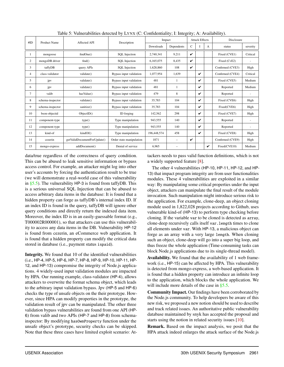<span id="page-11-0"></span>

| #ID | <b>Product Name</b> | Affected API                | Description              | Impact                                |            | <b>Attack Effects</b> |              |                  | Disclosure       |          |
|-----|---------------------|-----------------------------|--------------------------|---------------------------------------|------------|-----------------------|--------------|------------------|------------------|----------|
|     |                     |                             |                          | Downloads                             | Dependents | C                     |              | A                | status           | severity |
|     | mongoose            | findOne()                   | <b>SQL</b> Injection     | 2,740,341                             | 9,211      | v                     |              |                  | Fixed (CVE1)     | Critical |
| 2   | mongoDB driver      | find()                      | <b>SQL</b> Injection     | 6.165.075                             | 8.435      | ✓                     |              |                  | Fixed (CvE2)     |          |
| 3   | taffyDB             | query APIs                  | <b>SOL</b> Injection     | 1,628,860                             | 108        | ✓                     |              |                  | Confirmed (CVE3) | High     |
| 4   | class-validator     | validate()                  | Bypass input validation  | 1,077,954                             | 1,639      |                       | $\checkmark$ |                  | Confirmed (CVE4) | Critical |
| 5.  | jpv                 | validate()                  | Bypass input validation  | 481<br>✓<br>1                         |            |                       |              | Fixed (CVE5)     | Medium           |          |
| 6   | jpv                 | validate()                  | Bypass input validation  | 481                                   | ✓<br>1     |                       |              | Reported         | Medium           |          |
| 7   | valib               | has Value()                 | Bypass input validation  | 479                                   | 8          |                       | $\checkmark$ |                  | Reported         |          |
| 8   | schema-inspector    | validate()                  | Bypass input validation  | 35,783                                | 104        |                       | ✓            |                  | Fixed (CVE6)     | High     |
| 9   | schema-inspector    | sanitize()                  | Bypass input validation  | 35,783                                | 104        |                       | ✓            |                  | Fixed(CVE6)      | High     |
| 10  | bson-objectid       | ObjectID()                  | ID forging               | 142,562                               | 298        |                       | ✓            |                  | Fixed (CVE7)     | High     |
| 11  | component-type      | type()                      | Type manipulation        | 943,555                               | 140        |                       | ✓            |                  | Reported         | $\sim$   |
| 12  | component-type      | type()                      | Type manipulation        | 943,555<br>$\checkmark$<br>140        |            |                       | Reported     |                  |                  |          |
| 13  | kind-of             | kindOf()                    | Type manipulation        | 196,448,574                           | 458        |                       | ✓            |                  | Fixed (CVE8)     | High     |
| 14  | cezerin             | getValidDocumentForUpdate() | Order state manipulation | 1871<br>V<br>$\overline{\phantom{0}}$ |            |                       |              | Confirmed (CVE9) | High             |          |
| 15  | mongo-express       | addDocument()               | Denial of service        | 6.965                                 | ۰          |                       |              | ✓                | Fixed(CVE10)     | Medium   |

Table 5: Vulnerabilities detected by LYNX (C: Confidentiality; I: Integrity; A: Availability).

data/true regardless of the correctness of query condition. This can be abused to leak sensitive information or bypass access control. For example, an attacker might log into other user's accounts by forcing the authentication result to be true (we will demonstrate a real-world case of this vulnerability in [§5.5\)](#page-12-0). The vulnerability HP-3 is found from taffyDB. This is a serious universal SQL Injection that can be abused to access arbitrary data items in the database: It is found that a hidden property can forge as taffyDB's internal index ID. If an index ID is found in the query, taffyDB will ignore other query conditions and directly return the indexed data item. Moreover, the index ID is in an easily-guessable format (e.g., T000002R000001), so that attackers can use this vulnerability to access any data items in the DB. Vulnerability HP-12 is found from cezerin, an eCommerce web application. It is found that a hidden property can modify the critical data stored in database (i.e., payment status ispaid).

Integrity. We found that 10 of the identified vulnerabilities (i.e., HP-4, HP-5, HP-6, HP-7, HP-8, HP-9, HP-10, HP-11, HP-12, and HP-13) compromise the integrity of Node.js applications. 4 widely-used input validation modules are impacted by HPA. Our running example, class-validator (HP-4), allows attackers to overwrite the format schema object, which leads to the arbitrary input validation bypass. Jpv (HP-5 and HP-6) checks the type of unsafe objects on the their prototype. However, since HPA can modify properties in the prototype, the validation result of jpv can be manipulated. The other three validation bypass vulnerabilities are found from one API (HP-6) from valib and two APIs (HP-7 and HP-8) from schemainspector: By modifying hasOwnProperty function under the unsafe object's prototype, security checks can be skipped. Note that these three cases have limited exploit scenario: Attackers needs to pass valid function definitions, which is not a widely supported feature [\[8\]](#page-14-15).

The other 4 vulnerabilities (HP-10, HP-11, HP-12, and HP-13) that impact program integrity are from user functionalities modules. These 4 vulnerabilities are exploited in a similar way: By manipulating some critical properties under the input object, attackers can manipulate the final result of the module invocation. Such manipulation might introduce serious risk to the application. For example, clone-deep, an object cloning module used in 1,822,028 projects according to Github, uses vulnerable kind-of (HP-13) to perform type checking before cloning. If the variable var to be cloned is detected as array, clone-deep recursively calls itself var.length times to clone all elements under var. With HP-13, a malicious object can forge as an array with a very large length. When cloning such an object, clone-deep will go into a super big loop, and thus freeze the whole application (Time-consuming tasks can block Node.js applications due to its single-thread model).

Availability. We found that the availability of 1 web framework (i.e., HP-15) can be affected by HPA. This vulnerability is detected from mongo-express, a web-based application. It is found that a hidden property can introduce an infinite loop to the application, which blocks the whole application. We will include more details of the case in [§5.5.](#page-12-0)

Community Impact. Our findings have been corroborated by the Node.js community. To help developers be aware of this new risk, we proposed a new notion should be used to describe and track related issues. An authoritative public vulnerability database maintained by snyk has accepted the proposal and starts using the notion in related security issues [\[10\]](#page-14-16).

Remark. Based on the impact analysis, we posit that the HPA attack indeed enlarges the attack surface of the Node.js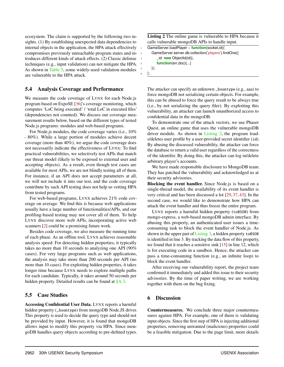ecosystem. The claim is supported by the following two insights. (1) By establishing unexpected data dependencies to internal objects in the application, the HPA attack effectively compromises previously unreachable program states and introduces different kinds of attack effects. (2) Classic defense techniques (e.g., input validation) can not mitigate the HPA. As shown in [Table 5,](#page-11-0) some widely-used validation modules are vulnerable to the HPA attack.

## 5.4 Analysis Coverage and Performance

We measure the code coverage of LYNX for each Node.js program based on ExpoSE [\[36\]](#page-15-12)'s coverage monitoring, which computes 'LoC being executed' / 'total LoC in executed files' (dependencies not counted). We discuss our coverage measurement results below, based on the different types of tested Node.js programs: modules and web-based programs.

For Node.js modules, the code coverage varies (i.e., 10% - 80%). While a large portion of modules achieve decent coverage (more than 40%), we argue the code coverage does not necessarily indicate the effectiveness of LYNX: To find practical vulnerabilities, we selectively test APIs that match our threat model (likely to be exposed to external user and accepting objects). As a result, even though test cases are available for most APIs, we are not blindly testing all of them. For instance, if an API does not accept parameters at all, we will not include it into our test, and the code coverage contribute by such API testing does not help us vetting HPA from tested programs.

For web-based programs, LYNX achieves 21% code coverage on average. We find this is because web applications usually have a large number of functionalities/APIs, and our profiling-based testing may not cover all of them. To help LYNX discover more web APIs, incorporating active web scanners [\[2\]](#page-14-17) could be a promising future work.

Besides code coverage, we also measure the running time of each phase. As an offline tool, LYNX achieves reasonable analysis speed: For detecting hidden properties, it typically takes no more than 10 seconds to analyzing one API (90% cases). For very large programs such as web applications, the analysis may take more than 200 seconds per API (no more than 10 cases). For exploiting hidden properties, it takes longer time because LYNX needs to explore multiple paths for each candidate. Typically, it takes around 50 seconds per hidden property. Detailed results can be found at  $\S A.3$ .

## <span id="page-12-0"></span>5.5 Case Studies

Accessing Confidential User Data. LYNX reports a harmful hidden property (\_bsontype) from mongoDB Node.JS driver. This property is used to decide the query type and should not be provided by input. However, it is found that mongoDB allows input to modify this property via HPA. Since mongoDB handles query objects according to pre-defined types. <span id="page-12-1"></span>Listing 2 The online game is vulnerable to HPA because it calls vulnerable mongoDB APIs to handle input.

```
1 GameServer.loadPlayer = function(socket,id){
  2 GameServer.server.db.collection('players').findOne({
       3 _id: new ObjectId(id)},
      function(err,doc){...}
  \};
6 };
```
The attacker can specify an unknown \_bsontype (e.g., aaa) to force mongoDB not serializing certain objects. For example, this can be abused to force the query result to be always true (i.e., by not serializing the query filer). By exploiting this vulnerability, an attacker can launch unauthorized access to confidential data in the mongoDB.

To demonstrate one of the attack vectors, we use Phaser Quest, an online game that uses the vulnerable mongoDB driver module. As shown in [Listing 2,](#page-12-1) the program loads/deletes user profile by a user-provided secret identifier (id). By abusing the discussed vulnerability, the attacker can force the database to return a valid user regardless of the correctness of the identifer. By doing this, the attacker can log in/delete arbitrary player's accounts.

We have made responsible disclosure to MongoDB team. They has patched the vulnerability and acknowledged us at their security advisories.

Blocking the event handler. Since Node.js is based on a single-thread model, the availability of its event handler is very critical and has been discussed a lot [\[29,](#page-15-2) [37,](#page-15-3) [43\]](#page-15-5). In the second case, we would like to demonstrate how HPA can attack the event handler and thus freeze the entire program.

LYNX reports a harmful hidden property (toBSON) from mongo-express, a web-based mongoDB admin interface. By abusing this property, an authenticated user issues a timeconsuming task to block the event handler of Node.js. As shown in the upper part of [Listing 3,](#page-13-0) a hidden property toBSON is identified in line 3. By tracking the data flow of this property, we found that it reaches a sensitive sink [\[15\]](#page-14-18) in line 12, which is for executing code in a sandbox. Hence, the attacker can pass a time-consuming function (e.g., an infinite loop) to block the event handler.

After receiving our vulnerability report, the project team confirmed it immediately and added this issue to their security advisories. By the time of paper writing, we are working together with them on the bug fixing.

## 6 Discussion

Countermeasures. We conclude three major countermeasures against HPA. For example, one of them is validating input objects. Since the first step of HPA is injecting additional properties, removing unwanted (malicious) properties could be a feasible mitigation. Due to the page limit, more details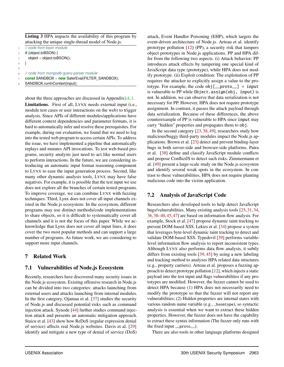<span id="page-13-0"></span>Listing 3 HPA impacts the availability of this program by attacking the unique single-thread model of Node.js.

```
1 // code from bson module
```

```
if (object.toBSON) {
```

```
object = object.toBSON();
\mathcal{E}
```
- 
- 5
- <sup>6</sup> *// code from mongodb-query-parser module*
- **const** SANDBOX = **new** SaferEval(FILTER\_SANDBOX);
- SANDBOX.runInContext(input);

about the three approaches are discussed in Appendi[x§A.1.](#page-15-10) Limitations. First of all, LYNX needs external input (i.e.,

module test cases or user interactions on the web) to trigger analysis. Since APIs of different modules/applications have different context dependencies and parameter formats, it is hard to automatically infer and resolve these prerequisites. For example, during our evaluation, we found that we need to log into the tested web program to access certain APIs. To address the issue, we have implemented a pipeline that automatically replays and mutates API invocations. To test web-based programs, security analysts just need to act like normal users to perform interactions. In the future, we are considering introducing an automatic input format reasoning component to LYNX to ease the input generation process. Second, like many other dynamic analysis tools, LYNX may have false negatives. For example, it is possible that the test input we use does not explore all the branches of certain tested programs. To improve coverage, we can combine LYNX with fuzzing techniques. Third, Lynx does not cover all input channels existed in the Node.js ecosystem: In the ecosystem, different programs may use distinct methods/code implementations to share objects, so it is difficult to systematically cover all channels and it is not the focus of this paper. While we acknowledge that Lynx does not cover all input lines, it does cover the two most popular methods and can support a large number of programs. As future work, we are considering to support more input channels.

# 7 Related Work

## 7.1 Vulnerabilities of Node.js Ecosystem

Recently, researchers have discovered many security issues in the Node.js ecosystem. Existing offensive research in Node.js can be divided into two categories: attacks launching from external users and attacks launching from internal modules. In the first category, Ojamaa et al. [\[37\]](#page-15-3) studies the security of Node.js and discussed potential risks such as command injection attack. Synode [\[44\]](#page-15-6) further studies command injection attack and presents an automatic mitigation approach. Staicu et al. [\[43\]](#page-15-5) show how ReDoS (regular expression denial of service) affects real Node.js websites. Davis et al. [\[29\]](#page-15-2) identify and mitigate a new type of denial of service (DoS)

attack, Event Handler Poisoning (EHP), which targets the event-driven architecture of Node.js. Arteau et al. identify prototype pollution  $[12]$  (PP), a security risk that tampers object prototypes in Node.js applications. PP and HPA differ from the following two aspects. (i) Attack behavior: PP introduces attack effects by tampering one special kind of JavaScript data type (prototype), while HPA does not modify prototype. (ii) Exploit condition: The exploitation of PP requires the attacker to explicitly assign a value to the prototype. For example, the code  $obj[\_\_proto\_\] = input$ is vulnerable to PP while Object.assign(obj, input) is not. In addition, we can observe that data serialization is not necessary for PP. However, HPA does not require prototype assignment. In contrast, it passes the attack payload through data serialization. Because of these differences, the above counterexample of PP is vulnerable to HPA since input may carry "hidden" properties and propagates them to obj.

In the second category [\[23,](#page-15-1) [38,](#page-15-4) [49\]](#page-15-0), researchers study how malicious/buggy third-party modules impact the Node.js applications. Brown et al. [\[23\]](#page-15-1) detect and prevent binding-layer bugs in both server-side and browser-side platforms. Patra et al. [\[38\]](#page-15-4) define and classify JavaScript module conflicts and propose ConflictJS to detect such risks. Zimmermann et al. [\[49\]](#page-15-0) present a large-scale study on the Node.js ecosystem and identify several weak spots in the ecosystem. In contrast to these vulnerabilities, HPA does not require planting malicious code into the victim application.

# 7.2 Analysis of JavaScript Code

Researchers also developed tools to help detect JavaScript bugs/vulnerabilities. Many existing analysis tools [\[25,](#page-15-13) [31,](#page-15-14) [34,](#page-15-15) [36,](#page-15-12) [38](#page-15-4)[–40,](#page-15-16) [45,](#page-15-17) [47\]](#page-15-18) are based on information flow analysis. For example, Stock et al. [\[47\]](#page-15-18) propose dynamic taint tracking to prevent DOM-based XSS. Lekies et al. [\[34\]](#page-15-15) propose a system that leverages byte-level dynamic taint tracking to detect and validate DOM-based XSS. Typedevil [\[39\]](#page-15-19) performs variablelevel information flow analysis to report inconsistent types. Although LYNX also performs data flow analysis, it subtly differs from existing tools [\[39,](#page-15-19) [45\]](#page-15-17) by using a new labeling and tracking method to analyzes HPA related data structures (e.g., property carriers). Arteau et al. proposes a fuzzing approach to detect prototype pollution [\[12\]](#page-14-10), which injects a static payload into the test input and flags vulnerabilities if any prototypes are modified. However, the fuzzer cannot be used to detect HPA because (1) HPA does not necessarily need to modify the prototype so that the fuzzer will not report any vulnerabilities; (2) Hidden properties are internal states with various random name variable (e.g., \_bsontype), so syntactic analysis is essential when we want to extract these hidden properties. However, the fuzzer does not have the capability to extract these syntax information (The fuzzer only runs with the fixed input \_\_proto\_\_).

There are also tools in other language platforms designed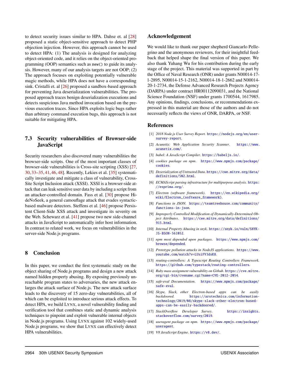to detect security issues similar to HPA. Dahse et. al [\[28\]](#page-15-7) proposed a static object-sensitive approach to detect PHP objection injection. However, this approach cannot be used to detect HPA: (1) The analysis is designed for analyzing object-oriented code, and it relies on the object-oriented programming (OOP) semantics such as new() to guide its analysis. However, many of our analysis targets are not OOP; (2) The approach focuses on exploiting potentially vulnerable magic methods, while HPA does not have a corresponding sink. Cristalli et. al [\[26\]](#page-15-20) proposed a sandbox-based approach for preventing Java deserialization vulnerabilities. The proposed approach traces benign deserialization executions and detects suspicious Java method invocation based on the previous execution traces. Since HPA exploits logic bugs rather than arbitrary command execution bugs, this approach is not suitable for mitigating HPA.

### 7.3 Security vulnerabilities of Browser-side **JavaScript**

Security researchers also discovered many vulnerabilities the browser-side scripts. One of the most important classes of browser-side vulnerabilities is Cross-site scripting (XSS) [\[27,](#page-15-21) [30,](#page-15-22) [33–](#page-15-23)[35,](#page-15-24) [41,](#page-15-25) [46,](#page-15-26) [48\]](#page-15-27). Recently, Lekies et al. [\[35\]](#page-15-24) systematically investigate and mitigate a class of vulnerability, Cross-Site Script Inclusion attack (XSSI). XSSI is a browser-side attack that can leak sensitive user data by including a script from an attacker-controlled domain. Fass et al. [\[30\]](#page-15-22) propose HideNoSeek, a general camouflage attack that evades syntacticbased malware detectors. Steffens et al. [\[46\]](#page-15-26) propose Persistent Client-Side XSS attack and investigate its severity on the Web. Schewarz et al. [\[41\]](#page-15-25) propose two new side-channel attacks in JavaScript to automatically infer host information. In contrast to related work, we focus on vulnerabilities in the server-side Node.js programs.

### 8 Conclusion

In this paper, we conduct the first systematic study on the object sharing of Node.js programs and design a new attack named hidden property abusing. By exposing previously unreachable program states to adversaries, the new attack enlarges the attack surface of Node.js. The new attack surface leads to the discovery of 15 zero-day vulnerabilities, all of which can be exploited to introduce serious attack effects. To detect HPA, we build LYNX, a novel vulnerability finding and verification tool that combines static and dynamic analysis techniques to pinpoint and exploit vulnerable internal objects in Node.js programs. Using LYNX against 102 widely-used Node.js programs, we show that LYNX can effectively detect HPA vulnerabilities.

#### Acknowledgement

We would like to thank our paper shepherd Giancarlo Pellegrino and the anonymous reviewers, for their insightful feedback that helped shape the final version of this paper. We also thank Yuhang Wu for his contribution during the early stage of the project. This material was supported in part by the Office of Naval Research (ONR) under grants N00014-17- 1-2895, N00014-15-1-2162, N00014-18-1-2662 and N00014- 20-1-2734, the Defense Advanced Research Projects Agency (DARPA) under contract HR00112090031, and the National Science Foundation (NSF) under grants 1700544, 1617985. Any opinions, findings, conclusions, or recommendations expressed in this material are those of the authors and do not necessarily reflects the views of ONR, DARPA, or NSF.

#### References

- <span id="page-14-6"></span>[1] *2018 Node.js User Survey Report.* [https://nodejs.org/en/user](https://nodejs.org/en/user-survey-report)[survey-report](https://nodejs.org/en/user-survey-report).
- <span id="page-14-17"></span>[2] *Acunetix: Web Application Security Scanner*. [https://www.](https://www.acunetix.com/) [acunetix.com/](https://www.acunetix.com/).
- <span id="page-14-14"></span>[3] *babel: A JavaScript Compiler*. <https://babeljs.io/>.
- <span id="page-14-8"></span>[4] *cookies package on npm*. [https://www.npmjs.com/package/](https://www.npmjs.com/package/cookies) [cookies](https://www.npmjs.com/package/cookies).
- <span id="page-14-11"></span>[5] *Deserialization of Untrusted Data*. [https://cwe.mitre.org/data/](https://cwe.mitre.org/data/definitions/502.html) [definitions/502.html](https://cwe.mitre.org/data/definitions/502.html).
- <span id="page-14-13"></span>[6] *ECMAScript parsing infrastructure for multipurpose analysis.* [https:](https://esprima.org/) [//esprima.org/](https://esprima.org/).
- <span id="page-14-0"></span>[7] *Electron (software framework)*. [https://en.wikipedia.org/](https://en.wikipedia.org/wiki/Electron_(software_framework)) wiki/Electron (software framework).
- <span id="page-14-15"></span>[8] *Functions in JSON*. [https://teamtreehouse.com/community/](https://teamtreehouse.com/community/functions-in-json) [functions-in-json](https://teamtreehouse.com/community/functions-in-json).
- <span id="page-14-4"></span>[9] *Improperly Controlled Modification of Dynamically-Determined Object Attributes*. [https://cwe.mitre.org/data/definitions/](https://cwe.mitre.org/data/definitions/915.html) [915.html](https://cwe.mitre.org/data/definitions/915.html).
- <span id="page-14-16"></span>[10] *Internal Property Abusing in snyk*. [https://snyk.io/vuln/SNYK-](https://snyk.io/vuln/SNYK-JS-BSON-561052)[JS-BSON-561052](https://snyk.io/vuln/SNYK-JS-BSON-561052).
- <span id="page-14-12"></span>[11] *npm most depended upon packages*. [https://www.npmjs.com/](https://www.npmjs.com/browse/depended) [browse/depended](https://www.npmjs.com/browse/depended).
- <span id="page-14-10"></span>[12] *Prototype pollution attacks in NodeJS applications*. [https://www.](https://www.youtube.com/watch?v=LUsiFV3dsK8) [youtube.com/watch?v=LUsiFV3dsK8](https://www.youtube.com/watch?v=LUsiFV3dsK8).
- <span id="page-14-9"></span>[13] *routing-controllers: A Typescript Routing Controllers Framework.* <https://github.com/typestack/routing-controllers>.
- <span id="page-14-3"></span>[14] *Ruby mass assignment vulnerability on Github*. [https://cve.mitre.](https://cve.mitre.org/cgi-bin/cvename.cgi?name=CVE-2012-2054) [org/cgi-bin/cvename.cgi?name=CVE-2012-2054](https://cve.mitre.org/cgi-bin/cvename.cgi?name=CVE-2012-2054).
- <span id="page-14-18"></span>[15] *safe-eval Documentation*. [https://www.npmjs.com/package/](https://www.npmjs.com/package/safe-eval) [safe-eval](https://www.npmjs.com/package/safe-eval).
- <span id="page-14-1"></span>[16] *Skype, Slack, other Electron-based apps can be easily backdoored*. [https://arstechnica.com/information](https://arstechnica.com/information-technology/2019/08/skype-slack-other-electron-based-apps-can-be-easily-backdoored/)[technology/2019/08/skype-slack-other-electron-based](https://arstechnica.com/information-technology/2019/08/skype-slack-other-electron-based-apps-can-be-easily-backdoored/)[apps-can-be-easily-backdoored/](https://arstechnica.com/information-technology/2019/08/skype-slack-other-electron-based-apps-can-be-easily-backdoored/).
- <span id="page-14-2"></span>[17] *StackOverflow Developer Survey*. [https://insights.](https://insights.stackoverflow.com/survey/2019) [stackoverflow.com/survey/2019](https://insights.stackoverflow.com/survey/2019).
- <span id="page-14-7"></span>[18] *useragent package on npm*. [https://www.npmjs.com/package/](https://www.npmjs.com/package/useragent) [useragent](https://www.npmjs.com/package/useragent).
- <span id="page-14-5"></span>[19] *V8 JavaScript Engine*. <https://v8.dev/>.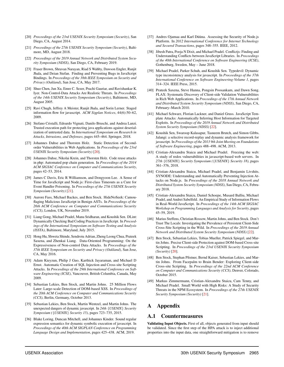- <span id="page-15-28"></span>[20] *Proceedings of the 23rd USENIX Security Symposium (Security)*, San Diego, CA, August 2014.
- <span id="page-15-29"></span>[21] *Proceedings of the 27th USENIX Security Symposium (Security)*, Baltimore, MD, August 2018.
- <span id="page-15-30"></span>[22] *Proceedings of the 2019 Annual Network and Distributed System Security Symposium (NDSS)*, San Diego, CA, February 2019.
- <span id="page-15-1"></span>[23] Fraser Brown, Shravan Narayan, Riad S Wahby, Dawson Engler, Ranjit Jhala, and Deian Stefan. Finding and Preventing Bugs in JavaScript Bindings. In *Proceedings of the 38th IEEE Symposium on Security and Privacy (Oakland)*, San Jose, CA, May 2017.
- <span id="page-15-8"></span>[24] Shuo Chen, Jun Xu, Emre C. Sezer, Prachi Gauriar, and Ravishankar K. Iyer. Non-Control-Data Attacks Are Realistic Threats. In *Proceedings of the 14th USENIX Security Symposium (Security)*, Baltimore, MD, August 2005.
- <span id="page-15-13"></span>[25] Ravi Chugh, Jeffrey A Meister, Ranjit Jhala, and Sorin Lerner. Staged information flow for javascript. *ACM Sigplan Notices*, 44(6):50–62, 2009.
- <span id="page-15-20"></span>[26] Stefano Cristalli, Edoardo Vignati, Danilo Bruschi, and Andrea Lanzi. Trusted execution path for protecting java applications against deserialization of untrusted data. In *International Symposium on Research in Attacks, Intrusions, and Defenses*, pages 445–464. Springer, 2018.
- <span id="page-15-21"></span>[27] Johannes Dahse and Thorsten Holz. Static Detection of Secondorder Vulnerabilities in Web Applications. In *Proceedings of the 23rd USENIX Security Symposium (Security)* [\[20\]](#page-15-28).
- <span id="page-15-7"></span>[28] Johannes Dahse, Nikolai Krein, and Thorsten Holz. Code reuse attacks in php: Automated pop chain generation. In *Proceedings of the 2014 ACM SIGSAC Conference on Computer and Communications Security*, pages 42–53, 2014.
- <span id="page-15-2"></span>[29] James C Davis, Eric R Williamson, and Dongyoon Lee. A Sense of Time for JavaScript and Node.js: First-class Timeouts as a Cure for Event Handler Poisoning. In *Proceedings of the 27th USENIX Security Symposium (Security)* [\[21\]](#page-15-29).
- <span id="page-15-22"></span>[30] Aurore Fass, Michael Backes, and Ben Stock. HideNoSeek: Camouflaging Malicious JavaScript in Benign ASTs. In *Proceedings of the 26th ACM Conference on Computer and Communications Security (CCS)*, London, UK, November 2019.
- <span id="page-15-14"></span>[31] Liang Gong, Michael Pradel, Manu Sridharan, and Koushik Sen. DLint: Dynamically Checking Bad Coding Practices in JavaScript. In *Proceedings of the International Symposium on Software Testing and Analysis (ISSTA)*, Baltimore, Maryland, July 2015.
- <span id="page-15-9"></span>[32] Hong Hu, Shweta Shinde, Sendroiu Adrian, Zheng Leong Chua, Prateek Saxena, and Zhenkai Liang. Data-Oriented Programming: On the Expressiveness of Non-control Data Attacks. In *Proceedings of the 37th IEEE Symposium on Security and Privacy (Oakland)*, San Jose, CA, May 2016.
- <span id="page-15-23"></span>[33] Adam Kieyzun, Philip J Guo, Karthick Jayaraman, and Michael D Ernst. Automatic Creation of SQL Injection and Cross-site Scripting Attacks. In *Proceedings of the 29th International Conference on Software Engineering (ICSE)*, Vancouver, British Columbia, Canada, May 2009.
- <span id="page-15-15"></span>[34] Sebastian Lekies, Ben Stock, and Martin Johns. 25 Million Flows Later: Large-scale Detection of DOM-based XSS. In *Proceedings of the 20th ACM Conference on Computer and Communications Security (CCS)*, Berlin, Germany, October 2013.
- <span id="page-15-24"></span>[35] Sebastian Lekies, Ben Stock, Martin Wentzel, and Martin Johns. The unexpected dangers of dynamic javascript. In *24th* {*USENIX*} *Security Symposium (*{*USENIX*} *Security 15)*, pages 723–735, 2015.
- <span id="page-15-12"></span>[36] Blake Loring, Duncan Mitchell, and Johannes Kinder. Sound regular expression semantics for dynamic symbolic execution of javascript. In *Proceedings of the 40th ACM SIGPLAN Conference on Programming Language Design and Implementation*, pages 425–438. ACM, 2019.
- <span id="page-15-3"></span>[37] Andres Ojamaa and Karl Düüna. Assessing the Security of Node.js Platform. In *2012 International Conference for Internet Technology and Secured Transactions*, pages 348–355. IEEE, 2012.
- <span id="page-15-4"></span>[38] Jibesh Patra, Pooja N Dixit, and Michael Pradel. Conflictjs: Finding and Understanding Conflicts between JavaScript Libraries. In *Proceedings of the 40th International Conference on Software Engineering (ICSE)*, Gothenburg, Sweden, May – June 2018.
- <span id="page-15-19"></span>[39] Michael Pradel, Parker Schuh, and Koushik Sen. Typedevil: Dynamic type inconsistency analysis for javascript. In *Proceedings of the 37th International Conference on Software Engineering-Volume 1*, pages 314–324. IEEE Press, 2015.
- <span id="page-15-16"></span>[40] Prateek Saxena, Steve Hanna, Pongsin Poosankam, and Dawn Song. FLAX: Systematic Discovery of Client-side Validation Vulnerabilities in Rich Web Applications. In *Proceedings of the 17th Annual Network and Distributed System Security Symposium (NDSS)*, San Diego, CA, February–March 2010.
- <span id="page-15-25"></span>[41] Michael Schwarz, Florian Lackner, and Daniel Gruss. JavaScript Template Attacks: Automatically Inferring Host Information for Targeted Exploits. In *Proceedings of the 2019 Annual Network and Distributed System Security Symposium (NDSS)* [\[22\]](#page-15-30).
- <span id="page-15-11"></span>[42] Koushik Sen, Swaroop Kalasapur, Tasneem Brutch, and Simon Gibbs. Jalangi: a selective record-replay and dynamic analysis framework for javascript. In *Proceedings of the 2013 9th Joint Meeting on Foundations of Software Engineering*, pages 488–498. ACM, 2013.
- <span id="page-15-5"></span>[43] Cristian-Alexandru Staicu and Michael Pradel. Freezing the web: A study of redos vulnerabilities in javascript-based web servers. In *27th* {*USENIX*} *Security Symposium (*{*USENIX*} *Security 18)*, pages 361–376, 2018.
- <span id="page-15-6"></span>[44] Cristian-Alexandru Staicu, Michael Pradel, and Benjamin Livshits. SYNODE: Understanding and Automatically Preventing Injection Attacks on Node.js. In *Proceedings of the 2018 Annual Network and Distributed System Security Symposium (NDSS)*, San Diego, CA, February 2018.
- <span id="page-15-17"></span>[45] Cristian-Alexandru Staicu, Daniel Schoepe, Musard Balliu, Michael Pradel, and Andrei Sabelfeld. An Empirical Study of Information Flows in Real-World JavaScript. In *Proceedings of the 14th ACM SIGSAC Workshop on Programming Languages and Analysis for Security*, pages 45–59, 2019.
- <span id="page-15-26"></span>[46] Marius Steffens, Christian Rossow, Martin Johns, and Ben Stock. Don't Trust The Locals: Investigating the Prevalence of Persistent Client-Side Cross-Site Scripting in the Wild. In *Proceedings of the 2019 Annual Network and Distributed System Security Symposium (NDSS)* [\[22\]](#page-15-30).
- <span id="page-15-18"></span>[47] Ben Stock, Sebastian Lekies, Tobias Mueller, Patrick Spiegel, and Martin Johns. Precise Client-side Protection against DOM-based Cross-site Scripting. In *Proceedings of the 23rd USENIX Security Symposium (Security)* [\[20\]](#page-15-28).
- <span id="page-15-27"></span>[48] Ben Stock, Stephan Pfistner, Bernd Kaiser, Sebastian Lekies, and Martin Johns. From Facepalm to Brain Bender: Exploring Client-side Cross-site Scripting. In *Proceedings of the 22nd ACM Conference on Computer and Communications Security (CCS)*, Denver, Colorado, October 2015.
- <span id="page-15-0"></span>[49] Markus Zimmermann, Cristian-Alexandru Staicu, Cam Tenny, and Michael Pradel. Small World with High Risks: A Study of Security Threats in the NPM Ecosystem. In *Proceedings of the 27th USENIX Security Symposium (Security)* [\[21\]](#page-15-29).

## A Appendix

### <span id="page-15-10"></span>A.1 Countermeasures

Validating Input Objects. First of all, objects generated from input should be validated. Since the first step of the HPA attack is to inject additional properties into the input data, one straightforward mitigation is to remove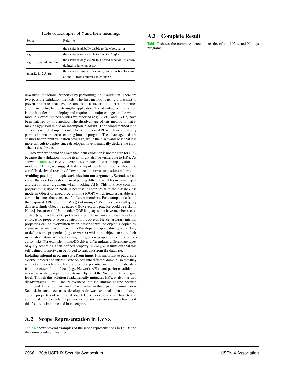Table 6: Examples of *S* and their meanings

<span id="page-16-2"></span>

| Scope                  | Refers to                                                 |  |  |
|------------------------|-----------------------------------------------------------|--|--|
| $\frac{1}{2\pi}$       | the carrier is globally visible to the whole script       |  |  |
| login fun              | the carrier is only visible to function login             |  |  |
| login_fun.is_admin_fun | the carrier is only visible to a nested function is_admin |  |  |
|                        | defined in function login                                 |  |  |
| anon.12.1.12.5. fun    | the carrier is visible to an anonymous function locating  |  |  |
|                        | at line 12 from column 1 to column 5                      |  |  |

unwanted (malicious) properties by performing input validation. There are two possible validation methods. The first method is using a blacklist to prevent properties that have the same name as the critical internal properties (e.g., constructor) from entering the application. The advantage of this method is that it is flexible to deploy and requires no major changes to the whole module. Several vulnerabilities we reported (e.g., CVE1 and CVE7) have been patched by this method. The disadvantage of this method is that it may be bypassed due to an incomplete blacklist. The second method is to enforce a whitelist input format check for every API, which means it only permits known properties entering into the program. The advantage is that it ensures better input validation coverage, while the disadvantage is that it is more difficult to deploy since developers have to manually declare the input schema case by case.

However, we should be aware that input validation is not the cure for HPA, because the validation module itself might also be vulnerable to HPA. As shown in [Table 5,](#page-11-0) 5 HPA vulnerabilities are identified from input validation modules. Hence, we suggest that the input validation module should be carefully designed (e.g., by following the other two suggestions below).

Avoiding packing multiple variables into one argument. Second, we advocate that developers should avoid putting different variables into one object and uses it as an argument when invoking APIs. This is a very common programming style in Node.js because it complies with the classic class model in Object-oriented programming (OOP) which treats a variable as a certain instance that consists of different members. For example, we found that exposed APIs (e.g., findOne()) of mongoDB's driver packs all query data as a single object (i.e., query). However, this practice could be risky in Node.js because: (1) Unlike other OOP languages that have member access control (e.g., modifiers like private and public in C++ and Java), JavaScript enforces no property access control for its objects. Hence, arbitrary internal properties can be overwritten when a user-controlled object is copied/assigned to certain internal objects. (2) Developers adapting this style are likely to define some properties (e.g., userRole) within the objects to store their meta information. An attacker might forge these properties to introduce security risks. For example, mongoDB driver differentiates differentiate types of query according a self-defined property \_bsontype. It turns out that this self-defined property can be forged to leak data from the database.

Isolating internal program state from input. It is important to put unsafe external objects and internal state objects into different domains so that they will not affect each other. For example, one potential solution is to label data from the external interfaces (e.g., Network APIs) and perform validation when overwriting properties in internal objects at the Node.js runtime engine level. Though this solution fundamentally mitigates HPA, it also has two disadvantages. First, it incurs overhead into the runtime engine because additional data structures need to be attached to the object implementation. Second, in some scenarios, developers do want external input to change certain properties of an internal object. Hence, developers will have to add additional code to declare a permission for such cross-domain behaviors if this feature is implemented in the engine.

### <span id="page-16-0"></span>A.2 Scope Representation in LYNX

[Table 6](#page-16-2) shows several examples of the scope representations in LYNX and the corresponding meanings.

## <span id="page-16-1"></span>A.3 Complete Result

[Table 7](#page-17-0) shows the complete detection results of the 102 tested Node.js programs.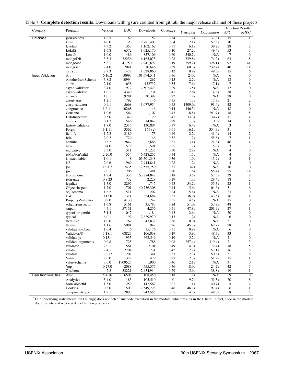| Table 7: Complete detection results. Downloads with (g) are counted from github, the major release channel of these projects. |  |  |  |
|-------------------------------------------------------------------------------------------------------------------------------|--|--|--|
|                                                                                                                               |  |  |  |

<span id="page-17-0"></span>

|                             |                          | Version        | LOC          |                  |              |                  | Time           |                 | <b>Detection Results</b> |
|-----------------------------|--------------------------|----------------|--------------|------------------|--------------|------------------|----------------|-----------------|--------------------------|
| Category                    | Program                  |                |              | Downloads        | Coverage     | <b>Detection</b> | Exploitation   | #PC             | #HPC                     |
| Database                    | json-records             | 1.0.5          | 169          | $\overline{52}$  | 0.34         | $\overline{12s}$ | 37.3s          | $\overline{15}$ | $\mathbf{1}$             |
|                             | keyv                     | 4.0.0          | 93           | 12,781,403       | 0.64         | 2.1s             | 52.5s          | 10              | 3                        |
|                             | levelup                  | 4.3.2          | 353          | 1,162,162        | 0.31         | 6.1s             | 39.2s          | 28              | $\mathbf{2}$             |
|                             | LokiJS                   | 1.5.8          | 6372         | 1,025,170        | 0.10         | 27.2s            | 49.4s          | 53              | 3                        |
|                             | Lowdb                    | 1.0.0          | 486          | 857,106          | 0.60         | 540.7s           | N/A            | $\overline{7}$  | $\mathbf{0}$             |
|                             | mongoDB                  | 3.3.3          | 22256        | 6,165,075        | 0.28         | 329.8s           | 74.2s          | 63              | 8                        |
|                             | mongoose                 | 5.8.1          | 41750        | 2,941,692        | 0.19         | 359.2s           | 328.1s         | 92              | 41                       |
|                             | mongoist                 | 2.4.0          | 2041         | 10,646           | 0.39         | 60.3s            | 239.7s         | 40              | 14                       |
|                             | Taffydb                  | 2.7.3          | 1478         | 1,628,860        | 0.12         | 10.9s            | 49.6s          | 15              | 6                        |
| Input Validation            | Ajv                      | 6.10.2         | 10997        | 101,694,541      | 0.36         | 240s             | N/A            | 6               | $\overline{0}$           |
|                             | AnotherJsonSchema        | 3.8.2          | 10994        | 267              | 0.15         | 2.2s             | N/A            | 18              | $\boldsymbol{0}$         |
|                             | allow                    | 2.1.0          | 658          | 132732           | 0.55         | 7.6s             | 17.1s          | $\overline{7}$  | 8                        |
|                             | async-validator          | 3.4.0          | 1972         | 2,502,423        | 0.29         | 3.5s             | N/A            | 17              | $\boldsymbol{0}$         |
|                             | async-validate           | 1.0.1          | 4349         | 1,731            | 0.41         | 2.6s             | 14.6s          | 38              | 5                        |
|                             | amanda                   | 1.0.1          | 9281         | 30,392           | 0.22         | 2s               | N/A            | 28              | $\boldsymbol{0}$         |
|                             | assert-args              | 1.2.1<br>0.9.1 | 1792<br>5668 | 146<br>1,077,954 | 0.35<br>0.45 | 13s<br>1409.0s   | 17.7s<br>91.4s | 21<br>42        | $\mathbf{2}$<br>8        |
|                             | class-validator          | 1.6.11         | 10268        | 146              | 0.14         | 446.5s           | N/A            | 48              | $\boldsymbol{0}$         |
|                             | congruence               | 1.0.6          | 564          | 1,107            | 0.43         | 8.8s             | 91.17s         | 18              | 5                        |
|                             | Consono<br>DataInspector | 0.5.0          | 1349         | 29               | 0.41         | 33.3s            | 447s           | 11              | $\overline{4}$           |
|                             | enforce                  | 0.1.7          | 1546         | 14,047           | 0.29         | 3s               | 15s            | 14              | $\mathbf{1}$             |
|                             | fastest-validator        | 1.7.0          | 2315         | 130,804          | 0.37         | 6.4s             | N/A            | 3               | $\boldsymbol{0}$         |
|                             | Forgjs                   | 1.1.11         | 3562         | 167(g)           | 0.61         | 16.1s            | 354.9s         | 31              | $\overline{4}$           |
|                             | fieldify                 | 1.2.2          | 2189         | 73               | 0.49         | 2.2s             | 41.0s          | 14              | $\mathbf{2}$             |
|                             | fefe                     | 2.0.2          | 729          | 146              | 0.52         | 1.2s             | 55.8s          | $\overline{7}$  | $\mathbf{1}$             |
|                             | hannibal                 | 0.6.2          | 2847         | 2,668            | 0.31         | 3.1s             | 21.8s          | 46              | $\overline{4}$           |
|                             | have                     | 0.4.0          | 579          | 1,591            | 0.55         | 1.2s             | 15.3s          | 3               | 3                        |
|                             | indicative               | 7.3.0          | 311          | 31,235           | 0.30         | 2.8s             | N/A            | 4               | $\boldsymbol{0}$         |
|                             | isMyJsonValid            | 2.20.0         | 554          | 6,428,255        | 0.34         | 1.5s             | N/A            | 4               | $\boldsymbol{0}$         |
|                             | is-extendable            | 1.0.1          | 8            | 103,501,348      | 0.36         | 1.0s             | 13.9s          | 3               | $\mathbf{1}$             |
|                             | is2                      | 2.0.6          | 1969         | 2,944,841        | 0.28         | 1.2s             | N/A            | $\overline{4}$  | $\mathbf{0}$             |
|                             | joi                      | 16.1.7         | 7435         | 12,575,750       | 0.31         | 142s             | N/A            | 16              | $\mathbf{0}$             |
|                             | jpv                      | 2.0.1          | 206          | 481              | 0.20         | 1.6s             | 55.4s          | 25              | 14                       |
|                             | Jsonschema               | 1.2.4          | 335          | 53,884,848       | 0.18         | 3.5s             | 57.5s          | 39              | 8                        |
|                             | json-gate                | 0.8.23         | 732          | 2,228            | 0.29         | 1.3s             | 28.4s          | 18              | $\mathbf{2}$             |
|                             | legalize                 | 1.3.0          | 2297         | 1,745            | 0.43         | 54.2s            | 55.3s          | 23              | $\mathbf{1}$             |
|                             | Object-inspect           | 1.7.0          | 701          | 40,736,308       | 0.44         | 5.6s             | 104.6s         | 31              | 6                        |
|                             | obj-schema               | 1.6.2          | 511          | 207              | 0.24         | 5.6s             | N/A            | 23              | $\boldsymbol{0}$         |
|                             | <b>OW</b>                | 0.15.0         | 311          | 624,684          | 0.37         | 36.9s            | 43.5s          | 16              | $\mathbf{1}$             |
|                             | Property-Validator       | 0.9.0          | 4130         | 1,242            | 0.35         | 4.5s             | N/A            | 15              | $\boldsymbol{0}$         |
|                             | schema-inspector         | 1.6.8          | 5161         | 35,783           | 0.24         | 51.0s            | 53.8s          | 48              | 8                        |
|                             | satpam                   | 4.4.1          | 57151        | 4,256            | 0.51         | 47.8s            | 201.9s         | 27              | $\mathbf{1}$             |
|                             | typeof-properties        | 3.1.3          | 1047         | 1,184            | 0.43         | 2.6s             | N/A            | 20              | $\mathbf{0}$             |
|                             | typical                  | 6.0.1          | 192          | 2,629,970        | 0.13         | 1.2s             | N/A            | 6               | $\boldsymbol{0}$         |
|                             | treat-like               | 1.0.0          | 767          | 47,832           | 0.36         | 0.9s             | N/A            | 31              | $\boldsymbol{0}$         |
|                             | themis                   | 1.1.6          | 5081         | 942              | 0.26         | 45.7s            | 62.7s          | 28              | 1                        |
|                             | validate.io-object       | 1.0.4          | 6            | 15,176           | 0.31         | 0.9s             | N/A            | 6               | $\boldsymbol{0}$         |
|                             | ValidatorJS              | 3.18.1         | 68823        | 106,038          | 0.19         | 3.9s             | 48.7s          | 33              | 3                        |
|                             | validate.js              | 0.13.1         | 933          | 662,549          | 0.19         | 5.2s             | N/A            | 21              | $\boldsymbol{0}$         |
|                             | validate-arguments       | 0.0.8          | 725          | 1,788            | $0.08\,$     | 257.4s           | 319.4s         | 21              | 3                        |
|                             | validated                | 2.0.1          | 1561         | 2101             | 0.49         | 4.3s             | 72.4s          | 18              | 5                        |
|                             | valida                   | 2.4.1          | 2704         | 731              | 0.42         | 2.2s             | 57.1s          | 16              | 8                        |
|                             | validall                 | 3.0.17         | 1202         | 341              | 0.33         | 2.3s             | 50.6s          | 31              | 6                        |
|                             | Valib                    | 2.0.0          | 327          | 479              | 0.27         | 2.3s             | 51.2s          | 15              | 1                        |
|                             | value-schema             | 3.0.0          | 1909525      | 1,900            | 0.46         | 2.1s             | N/A            | 31              | $\boldsymbol{0}$         |
|                             | Yup                      | 0.27.0         | 2088         | 4,455,577        | 0.46         | 8.0s             | 24.2s          | 42              | 5                        |
|                             | Z-schema                 | 4.2.2          | 33221        | 2,434,914        | 0.29         | 15.6s            | 38.8s          | 19              | $\mathbf{1}$             |
| <b>User functionalities</b> | Avsc                     | 5.4.16         | 6508         | 108,450          | 0.18         | 19s              | N/A            | $\overline{9}$  | $\overline{0}$           |
|                             | Analytics                | 3.4.0          | 185          | 105,510          | $0 *$        | 19.7s            | 51.3s          | 20              | 8                        |
|                             | bson-objectid            | 1.3.0          | 259          | 142,562          | 0.21         | 1.1s             | 40.7s          | 5               | $\overline{4}$           |
|                             | Cookies                  | 0.8.0          | 503          | 2,549,728        | 0.46         | 46.7s            | 97.4s          | 6               | $\mathbf{1}$             |
|                             | component-type           | 1.2.1          | 2893         | 943,555          | 0.55         | 4.3s             | 48.0s          | 8               | 5                        |

\* Our underlying instrumentation (Jalangi) does not detect any code execution in the module, which results in the 0 here. In fact, code in the module does execute and we even detect hidden properties.